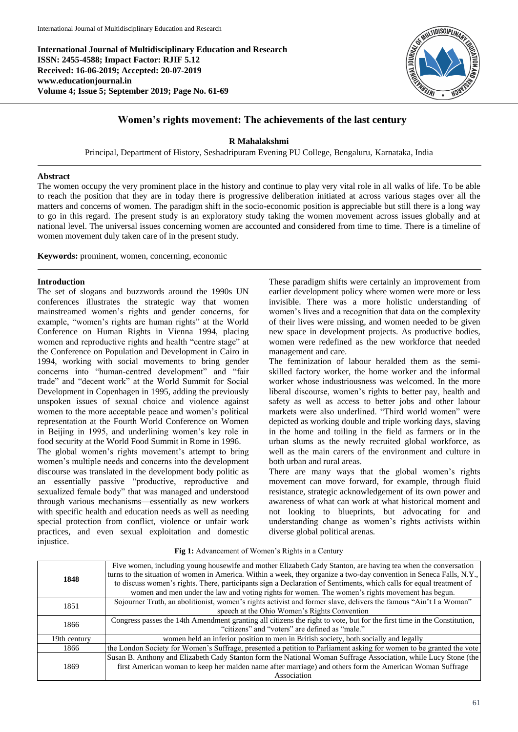**International Journal of Multidisciplinary Education and Research ISSN: 2455-4588; Impact Factor: RJIF 5.12 Received: 16-06-2019; Accepted: 20-07-2019 www.educationjournal.in Volume 4; Issue 5; September 2019; Page No. 61-69**



# **Women's rights movement: The achievements of the last century**

#### **R Mahalakshmi**

Principal, Department of History, Seshadripuram Evening PU College, Bengaluru, Karnataka, India

#### **Abstract**

The women occupy the very prominent place in the history and continue to play very vital role in all walks of life. To be able to reach the position that they are in today there is progressive deliberation initiated at across various stages over all the matters and concerns of women. The paradigm shift in the socio-economic position is appreciable but still there is a long way to go in this regard. The present study is an exploratory study taking the women movement across issues globally and at national level. The universal issues concerning women are accounted and considered from time to time. There is a timeline of women movement duly taken care of in the present study.

**Keywords:** prominent, women, concerning, economic

### **Introduction**

The set of slogans and buzzwords around the 1990s UN conferences illustrates the strategic way that women mainstreamed women's rights and gender concerns, for example, "women's rights are human rights" at the World Conference on Human Rights in Vienna 1994, placing women and reproductive rights and health "centre stage" at the Conference on Population and Development in Cairo in 1994, working with social movements to bring gender concerns into "human-centred development" and "fair trade" and "decent work" at the World Summit for Social Development in Copenhagen in 1995, adding the previously unspoken issues of sexual choice and violence against women to the more acceptable peace and women's political representation at the Fourth World Conference on Women in Beijing in 1995, and underlining women's key role in food security at the World Food Summit in Rome in 1996.

The global women's rights movement's attempt to bring women's multiple needs and concerns into the development discourse was translated in the development body politic as an essentially passive "productive, reproductive and sexualized female body" that was managed and understood through various mechanisms—essentially as new workers with specific health and education needs as well as needing special protection from conflict, violence or unfair work practices, and even sexual exploitation and domestic injustice.

These paradigm shifts were certainly an improvement from earlier development policy where women were more or less invisible. There was a more holistic understanding of women's lives and a recognition that data on the complexity of their lives were missing, and women needed to be given new space in development projects. As productive bodies, women were redefined as the new workforce that needed management and care.

The feminization of labour heralded them as the semiskilled factory worker, the home worker and the informal worker whose industriousness was welcomed. In the more liberal discourse, women's rights to better pay, health and safety as well as access to better jobs and other labour markets were also underlined. "Third world women" were depicted as working double and triple working days, slaving in the home and toiling in the field as farmers or in the urban slums as the newly recruited global workforce, as well as the main carers of the environment and culture in both urban and rural areas.

There are many ways that the global women's rights movement can move forward, for example, through fluid resistance, strategic acknowledgement of its own power and awareness of what can work at what historical moment and not looking to blueprints, but advocating for and understanding change as women's rights activists within diverse global political arenas.

| 1848         | Five women, including young housewife and mother Elizabeth Cady Stanton, are having tea when the conversation<br>turns to the situation of women in America. Within a week, they organize a two-day convention in Seneca Falls, N.Y.,<br>to discuss women's rights. There, participants sign a Declaration of Sentiments, which calls for equal treatment of<br>women and men under the law and voting rights for women. The women's rights movement has begun. |
|--------------|-----------------------------------------------------------------------------------------------------------------------------------------------------------------------------------------------------------------------------------------------------------------------------------------------------------------------------------------------------------------------------------------------------------------------------------------------------------------|
| 1851         | Sojourner Truth, an abolitionist, women's rights activist and former slave, delivers the famous "Ain't I a Woman"                                                                                                                                                                                                                                                                                                                                               |
|              | speech at the Ohio Women's Rights Convention                                                                                                                                                                                                                                                                                                                                                                                                                    |
| 1866         | Congress passes the 14th Amendment granting all citizens the right to vote, but for the first time in the Constitution,                                                                                                                                                                                                                                                                                                                                         |
|              | "citizens" and "voters" are defined as "male."                                                                                                                                                                                                                                                                                                                                                                                                                  |
| 19th century | women held an inferior position to men in British society, both socially and legally                                                                                                                                                                                                                                                                                                                                                                            |
| 1866         | the London Society for Women's Suffrage, presented a petition to Parliament asking for women to be granted the vote                                                                                                                                                                                                                                                                                                                                             |
| 1869         | Susan B. Anthony and Elizabeth Cady Stanton form the National Woman Suffrage Association, while Lucy Stone (the                                                                                                                                                                                                                                                                                                                                                 |
|              | first American woman to keep her maiden name after marriage) and others form the American Woman Suffrage                                                                                                                                                                                                                                                                                                                                                        |
|              | Association                                                                                                                                                                                                                                                                                                                                                                                                                                                     |

**Fig 1:** Advancement of Women's Rights in a Century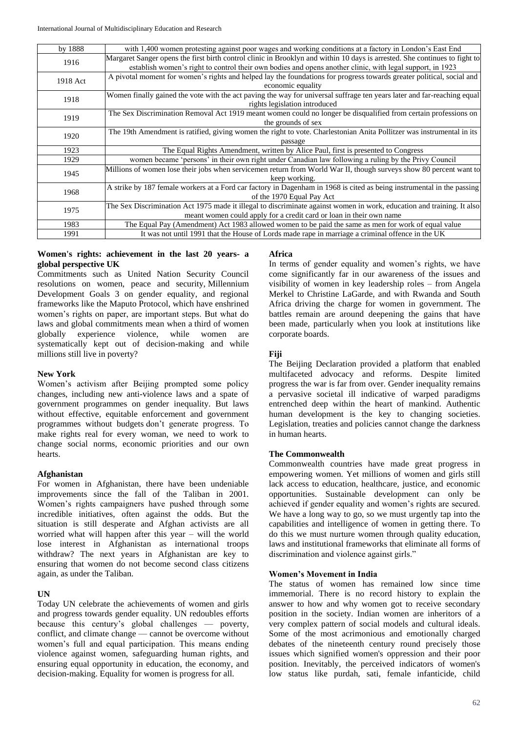| by 1888  | with 1,400 women protesting against poor wages and working conditions at a factory in London's East End                                                                                                                                 |
|----------|-----------------------------------------------------------------------------------------------------------------------------------------------------------------------------------------------------------------------------------------|
| 1916     | Margaret Sanger opens the first birth control clinic in Brooklyn and within 10 days is arrested. She continues to fight to<br>establish women's right to control their own bodies and opens another clinic, with legal support, in 1923 |
| 1918 Act | A pivotal moment for women's rights and helped lay the foundations for progress towards greater political, social and<br>economic equality                                                                                              |
| 1918     | Women finally gained the vote with the act paving the way for universal suffrage ten years later and far-reaching equal<br>rights legislation introduced                                                                                |
| 1919     | The Sex Discrimination Removal Act 1919 meant women could no longer be disqualified from certain professions on<br>the grounds of sex                                                                                                   |
| 1920     | The 19th Amendment is ratified, giving women the right to vote. Charlestonian Anita Pollitzer was instrumental in its<br>passage                                                                                                        |
| 1923     | The Equal Rights Amendment, written by Alice Paul, first is presented to Congress                                                                                                                                                       |
| 1929     | women became 'persons' in their own right under Canadian law following a ruling by the Privy Council                                                                                                                                    |
| 1945     | Millions of women lose their jobs when servicemen return from World War II, though surveys show 80 percent want to<br>keep working.                                                                                                     |
| 1968     | A strike by 187 female workers at a Ford car factory in Dagenham in 1968 is cited as being instrumental in the passing<br>of the 1970 Equal Pay Act                                                                                     |
| 1975     | The Sex Discrimination Act 1975 made it illegal to discriminate against women in work, education and training. It also<br>meant women could apply for a credit card or loan in their own name                                           |
| 1983     | The Equal Pay (Amendment) Act 1983 allowed women to be paid the same as men for work of equal value                                                                                                                                     |
| 1991     | It was not until 1991 that the House of Lords made rape in marriage a criminal offence in the UK                                                                                                                                        |
|          |                                                                                                                                                                                                                                         |

### **Women's rights: achievement in the last 20 years- a global perspective UK**

Commitments such as United Nation Security Council resolutions on women, peace and security, Millennium Development Goals 3 on gender equality, and regional frameworks like the Maputo Protocol, which have enshrined women's rights on paper, are important steps. But what do laws and global commitments mean when a third of women globally experience violence, while women are systematically kept out of decision-making and while millions still live in poverty?

## **New York**

Women's activism after Beijing prompted some policy changes, including new anti-violence laws and a spate of government programmes on gender inequality. But laws without effective, equitable enforcement and government programmes without budgets don't generate progress. To make rights real for every woman, we need to work to change social norms, economic priorities and our own hearts.

## **Afghanistan**

For women in Afghanistan, there have been undeniable improvements since the fall of the Taliban in 2001. Women's rights campaigners have pushed through some incredible initiatives, often against the odds. But the situation is still desperate and Afghan activists are all worried what will happen after this year – will the world lose interest in Afghanistan as international troops withdraw? The next years in Afghanistan are key to ensuring that women do not become second class citizens again, as under the Taliban.

## **UN**

Today UN celebrate the achievements of women and girls and progress towards gender equality. UN redoubles efforts because this century's global challenges — poverty, conflict, and climate change — cannot be overcome without women's full and equal participation. This means ending violence against women, safeguarding human rights, and ensuring equal opportunity in education, the economy, and decision-making. Equality for women is progress for all.

# **Africa**

In terms of gender equality and women's rights, we have come significantly far in our awareness of the issues and visibility of women in key leadership roles – from Angela Merkel to Christine LaGarde, and with Rwanda and South Africa driving the charge for women in government. The battles remain are around deepening the gains that have been made, particularly when you look at institutions like corporate boards.

# **Fiji**

The Beijing Declaration provided a platform that enabled multifaceted advocacy and reforms. Despite limited progress the war is far from over. Gender inequality remains a pervasive societal ill indicative of warped paradigms entrenched deep within the heart of mankind. Authentic human development is the key to changing societies. Legislation, treaties and policies cannot change the darkness in human hearts.

## **The Commonwealth**

Commonwealth countries have made great progress in empowering women. Yet millions of women and girls still lack access to education, healthcare, justice, and economic opportunities. Sustainable development can only be achieved if gender equality and women's rights are secured. We have a long way to go, so we must urgently tap into the capabilities and intelligence of women in getting there. To do this we must nurture women through quality education, laws and institutional frameworks that eliminate all forms of discrimination and violence against girls."

## **Women's Movement in India**

The status of women has remained low since time immemorial. There is no record history to explain the answer to how and why women got to receive secondary position in the society. Indian women are inheritors of a very complex pattern of social models and cultural ideals. Some of the most acrimonious and emotionally charged debates of the nineteenth century round precisely those issues which signified women's oppression and their poor position. Inevitably, the perceived indicators of women's low status like purdah, sati, female infanticide, child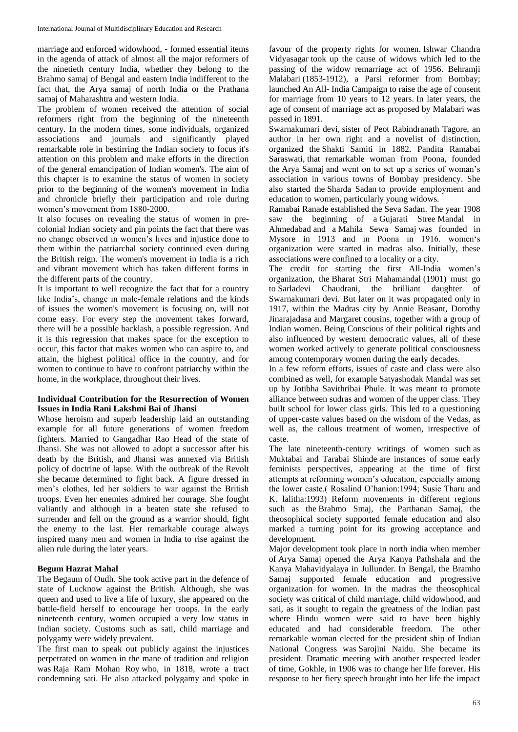marriage and enforced widowhood, - formed essential items in the agenda of attack of almost all the major reformers of the ninetieth century India, whether they belong to the Brahmo samaj of Bengal and eastern India indifferent to the fact that, the Arya samaj of north India or the Prathana samaj of Maharashtra and western India.

The problem of women received the attention of social reformers right from the beginning of the nineteenth century. In the modern times, some individuals, organized associations and journals and significantly played remarkable role in bestirring the Indian society to focus it's attention on this problem and make efforts in the direction of the general emancipation of Indian women's. The aim of this chapter is to examine the status of women in society prior to the beginning of the women's movement in India and chronicle briefly their participation and role during women's movement from 1880-2000.

It also focuses on revealing the status of women in precolonial Indian society and pin points the fact that there was no change observed in women's lives and injustice done to them within the patriarchal society continued even during the British reign. The women's movement in India is a rich and vibrant movement which has taken different forms in the different parts of the country.

It is important to well recognize the fact that for a country like India's, change in male-female relations and the kinds of issues the women's movement is focusing on, will not come easy. For every step the movement takes forward, there will be a possible backlash, a possible regression. And it is this regression that makes space for the exception to occur, this factor that makes women who can aspire to, and attain, the highest political office in the country, and for women to continue to have to confront patriarchy within the home, in the workplace, throughout their lives.

## **Individual Contribution for the Resurrection of Women Issues in India Rani Lakshmi Bai of Jhansi**

Whose heroism and superb leadership laid an outstanding example for all future generations of women freedom fighters. Married to Gangadhar Rao Head of the state of Jhansi. She was not allowed to adopt a successor after his death by the British, and Jhansi was annexed via British policy of doctrine of lapse. With the outbreak of the Revolt she became determined to fight back. A figure dressed in men's clothes, led her soldiers to war against the British troops. Even her enemies admired her courage. She fought valiantly and although in a beaten state she refused to surrender and fell on the ground as a warrior should, fight the enemy to the last. Her remarkable courage always inspired many men and women in India to rise against the alien rule during the later years.

## **Begum Hazrat Mahal**

The Begaum of Oudh. She took active part in the defence of state of Lucknow against the British. Although, she was queen and used to live a life of luxury, she appeared on the battle-field herself to encourage her troops. In the early nineteenth century, women occupied a very low status in Indian society. Customs such as sati, child marriage and polygamy were widely prevalent.

The first man to speak out publicly against the injustices perpetrated on women in the mane of tradition and religion was Raja Ram Mohan Roy who, in 1818, wrote a tract condemning sati. He also attacked polygamy and spoke in favour of the property rights for women. Ishwar Chandra Vidyasagar took up the cause of widows which led to the passing of the widow remarriage act of 1956. Behramji Malabari (1853-1912), a Parsi reformer from Bombay; launched An All- India Campaign to raise the age of consent for marriage from 10 years to 12 years. In later years, the age of consent of marriage act as proposed by Malabari was passed in 1891.

Swarnakumari devi, sister of Peot Rabindranath Tagore, an author in her own right and a novelist of distinction, organized the Shakti Samiti in 1882. Pandita Ramabai Saraswati, that remarkable woman from Poona, founded the Arya Samaj and went on to set up a series of woman's association in various towns of Bombay presidency. She also started the Sharda Sadan to provide employment and education to women, particularly young widows.

Ramabai Ranade established the Seva Sadan. The year 1908 saw the beginning of a Gujarati Stree Mandal in Ahmedabad and a Mahila Sewa Samaj was founded in Mysore in 1913 and in Poona in 1916. women's organization were started in madras also. Initially, these associations were confined to a locality or a city.

The credit for starting the first All-India women's organization, the Bharat Stri Mahamandal (1901) must go to Sarladevi Chaudrani, the brilliant daughter of Swarnakumari devi. But later on it was propagated only in 1917, within the Madras city by Annie Beasant, Dorothy Jinarajadasa and Margaret cousins, together with a group of Indian women. Being Conscious of their political rights and also influenced by western democratic values, all of these women worked actively to generate political consciousness among contemporary women during the early decades.

In a few reform efforts, issues of caste and class were also combined as well, for example Satyashodak Mandal was set up by Jotibha Savithribai Phule. It was meant to promote alliance between sudras and women of the upper class. They built school for lower class girls. This led to a questioning of upper-caste values based on the wisdom of the Vedas, as well as, the callous treatment of women, irrespective of caste.

The late nineteenth-century writings of women such as Muktabai and Tarabai Shinde are instances of some early feminists perspectives, appearing at the time of first attempts at reforming women's education, especially among the lower caste.( Rosalind O'hanion:1994; Susie Tharu and K. lalitha:1993) Reform movements in different regions such as the Brahmo Smaj, the Parthanan Samaj, the theosophical society supported female education and also marked a turning point for its growing acceptance and development.

Major development took place in north india when member of Arya Samaj opened the Arya Kanya Pathshala and the Kanya Mahavidyalaya in Jullunder. In Bengal, the Bramho Samaj supported female education and progressive organization for women. In the madras the theosophical society was critical of child marriage, child widowhood, and sati, as it sought to regain the greatness of the Indian past where Hindu women were said to have been highly educated and had considerable freedom. The other remarkable woman elected for the president ship of Indian National Congress was Sarojini Naidu. She became its president. Dramatic meeting with another respected leader of time, Gokhle, in 1906 was to change her life forever. His response to her fiery speech brought into her life the impact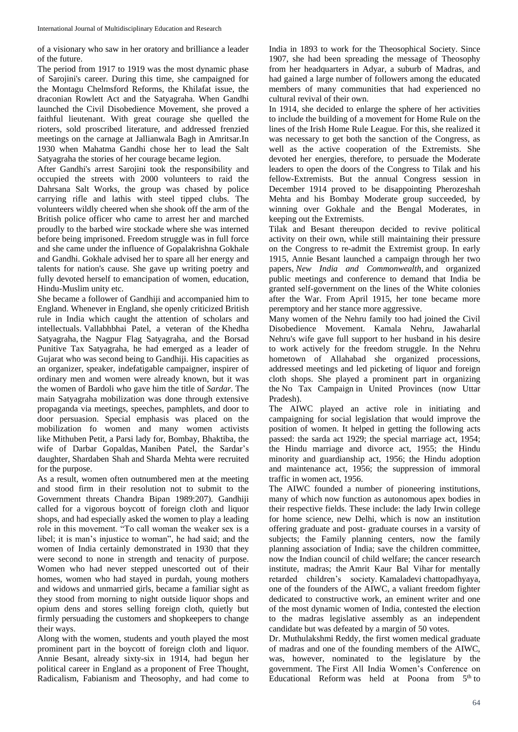of a visionary who saw in her oratory and brilliance a leader of the future.

The period from 1917 to 1919 was the most dynamic phase of Sarojini's career. During this time, she campaigned for the Montagu Chelmsford Reforms, the Khilafat issue, the draconian Rowlett Act and the Satyagraha. When Gandhi launched the Civil Disobedience Movement, she proved a faithful lieutenant. With great courage she quelled the rioters, sold proscribed literature, and addressed frenzied meetings on the carnage at Jallianwala Bagh in Amritsar.In 1930 when Mahatma Gandhi chose her to lead the Salt Satyagraha the stories of her courage became legion.

After Gandhi's arrest Sarojini took the responsibility and occupied the streets with 2000 volunteers to raid the Dahrsana Salt Works, the group was chased by police carrying rifle and lathis with steel tipped clubs. The volunteers wildly cheered when she shook off the arm of the British police officer who came to arrest her and marched proudly to the barbed wire stockade where she was interned before being imprisoned. Freedom struggle was in full force and she came under the influence of Gopalakrishna Gokhale and Gandhi. Gokhale advised her to spare all her energy and talents for nation's cause. She gave up writing poetry and fully devoted herself to emancipation of women, education, Hindu-Muslim unity etc.

She became a follower of Gandhiji and accompanied him to England. Whenever in England, she openly criticized British rule in India which caught the attention of scholars and intellectuals. Vallabhbhai Patel, a veteran of the Khedha Satyagraha, the Nagpur Flag Satyagraha, and the Borsad Punitive Tax Satyagraha, he had emerged as a leader of Gujarat who was second being to Gandhiji. His capacities as an organizer, speaker, indefatigable campaigner, inspirer of ordinary men and women were already known, but it was the women of Bardoli who gave him the title of *Sardar*. The main Satyagraha mobilization was done through extensive propaganda via meetings, speeches, pamphlets, and door to door persuasion. Special emphasis was placed on the mobilization fo women and many women activists like Mithuben Petit, a Parsi lady for, Bombay, Bhaktiba, the wife of Darbar Gopaldas, Maniben Patel, the Sardar's daughter, Shardaben Shah and Sharda Mehta were recruited for the purpose.

As a result, women often outnumbered men at the meeting and stood firm in their resolution not to submit to the Government threats Chandra Bipan 1989:207). Gandhiji called for a vigorous boycott of foreign cloth and liquor shops, and had especially asked the women to play a leading role in this movement. "To call woman the weaker sex is a libel; it is man's injustice to woman", he had said; and the women of India certainly demonstrated in 1930 that they were second to none in strength and tenacity of purpose. Women who had never stepped unescorted out of their homes, women who had stayed in purdah, young mothers and widows and unmarried girls, became a familiar sight as they stood from morning to night outside liquor shops and opium dens and stores selling foreign cloth, quietly but firmly persuading the customers and shopkeepers to change their ways.

Along with the women, students and youth played the most prominent part in the boycott of foreign cloth and liquor. Annie Besant, already sixty-six in 1914, had begun her political career in England as a proponent of Free Thought, Radicalism, Fabianism and Theosophy, and had come to

India in 1893 to work for the Theosophical Society. Since 1907, she had been spreading the message of Theosophy from her headquarters in Adyar, a suburb of Madras, and had gained a large number of followers among the educated members of many communities that had experienced no cultural revival of their own.

In 1914, she decided to enlarge the sphere of her activities to include the building of a movement for Home Rule on the lines of the Irish Home Rule League. For this, she realized it was necessary to get both the sanction of the Congress, as well as the active cooperation of the Extremists. She devoted her energies, therefore, to persuade the Moderate leaders to open the doors of the Congress to Tilak and his fellow-Extremists. But the annual Congress session in December 1914 proved to be disappointing Pherozeshah Mehta and his Bombay Moderate group succeeded, by winning over Gokhale and the Bengal Moderates, in keeping out the Extremists.

Tilak and Besant thereupon decided to revive political activity on their own, while still maintaining their pressure on the Congress to re-admit the Extremist group. In early 1915, Annie Besant launched a campaign through her two papers, *New India and Commonwealth,* and organized public meetings and conference to demand that India be granted self-government on the lines of the White colonies after the War. From April 1915, her tone became more peremptory and her stance more aggressive.

Many women of the Nehru family too had joined the Civil Disobedience Movement. Kamala Nehru, Jawaharlal Nehru's wife gave full support to her husband in his desire to work actively for the freedom struggle. In the Nehru hometown of Allahabad she organized processions, addressed meetings and led picketing of liquor and foreign cloth shops. She played a prominent part in organizing the No Tax Campaign in United Provinces (now Uttar Pradesh).

The AIWC played an active role in initiating and campaigning for social legislation that would improve the position of women. It helped in getting the following acts passed: the sarda act 1929; the special marriage act, 1954; the Hindu marriage and divorce act, 1955; the Hindu minority and guardianship act, 1956; the Hindu adoption and maintenance act, 1956; the suppression of immoral traffic in women act, 1956.

The AIWC founded a number of pioneering institutions, many of which now function as autonomous apex bodies in their respective fields. These include: the lady Irwin college for home science, new Delhi, which is now an institution offering graduate and post- graduate courses in a varsity of subjects; the Family planning centers, now the family planning association of India; save the children committee, now the Indian council of child welfare; the cancer research institute, madras; the Amrit Kaur Bal Vihar for mentally retarded children's society. Kamaladevi chattopadhyaya, one of the founders of the AIWC, a valiant freedom fighter dedicated to constructive work, an eminent writer and one of the most dynamic women of India, contested the election to the madras legislative assembly as an independent candidate but was defeated by a margin of 50 votes.

Dr. Muthulakshmi Reddy, the first women medical graduate of madras and one of the founding members of the AIWC, was, however, nominated to the legislature by the government. The First All India Women's Conference on Educational Reform was held at Poona from  $5<sup>th</sup>$  to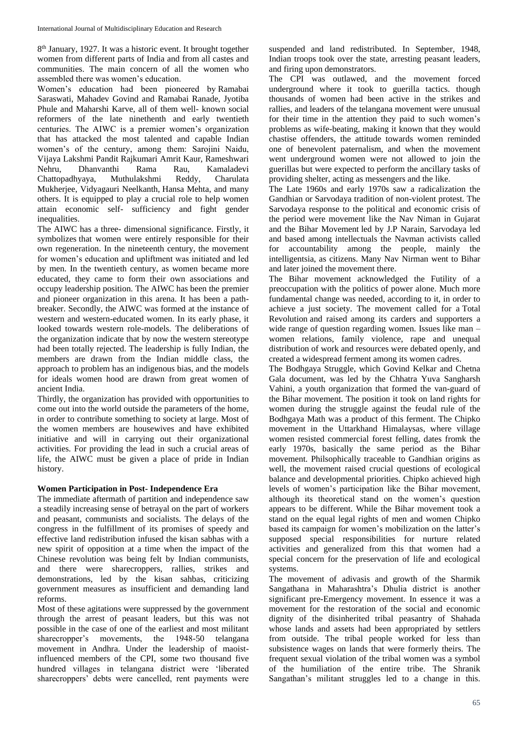8 th January, 1927. It was a historic event. It brought together women from different parts of India and from all castes and communities. The main concern of all the women who assembled there was women's education.

Women's education had been pioneered by Ramabai Saraswati, Mahadev Govind and Ramabai Ranade, Jyotiba Phule and Maharshi Karve, all of them well- known social reformers of the late ninethenth and early twentieth centuries. The AIWC is a premier women's organization that has attacked the most talented and capable Indian women's of the century, among them: Sarojini Naidu, Vijaya Lakshmi Pandit Rajkumari Amrit Kaur, Rameshwari Nehru, Dhanvanthi Rama Rau, Kamaladevi Chattopadhyaya, Muthulakshmi Reddy, Charulata Mukherjee, Vidyagauri Neelkanth, Hansa Mehta, and many others. It is equipped to play a crucial role to help women attain economic self- sufficiency and fight gender inequalities.

The AIWC has a three- dimensional significance. Firstly, it symbolizes that women were entirely responsible for their own regeneration. In the nineteenth century, the movement for women's education and upliftment was initiated and led by men. In the twentieth century, as women became more educated, they came to form their own associations and occupy leadership position. The AIWC has been the premier and pioneer organization in this arena. It has been a pathbreaker. Secondly, the AIWC was formed at the instance of western and western-educated women. In its early phase, it looked towards western role-models. The deliberations of the organization indicate that by now the western stereotype had been totally rejected. The leadership is fully Indian, the members are drawn from the Indian middle class, the approach to problem has an indigenous bias, and the models for ideals women hood are drawn from great women of ancient India.

Thirdly, the organization has provided with opportunities to come out into the world outside the parameters of the home, in order to contribute something to society at large. Most of the women members are housewives and have exhibited initiative and will in carrying out their organizational activities. For providing the lead in such a crucial areas of life, the AIWC must be given a place of pride in Indian history.

#### **Women Participation in Post- Independence Era**

The immediate aftermath of partition and independence saw a steadily increasing sense of betrayal on the part of workers and peasant, communists and socialists. The delays of the congress in the fulfillment of its promises of speedy and effective land redistribution infused the kisan sabhas with a new spirit of opposition at a time when the impact of the Chinese revolution was being felt by Indian communists, and there were sharecroppers, rallies, strikes and demonstrations, led by the kisan sahbas, criticizing government measures as insufficient and demanding land reforms.

Most of these agitations were suppressed by the government through the arrest of peasant leaders, but this was not possible in the case of one of the earliest and most militant sharecropper's movements, the 1948-50 telangana movement in Andhra. Under the leadership of maoistinfluenced members of the CPI, some two thousand five hundred villages in telangana district were 'liberated sharecroppers' debts were cancelled, rent payments were

suspended and land redistributed. In September, 1948, Indian troops took over the state, arresting peasant leaders, and firing upon demonstrators.

The CPI was outlawed, and the movement forced underground where it took to guerilla tactics. though thousands of women had been active in the strikes and rallies, and leaders of the telangana movement were unusual for their time in the attention they paid to such women's problems as wife-beating, making it known that they would chastise offenders, the attitude towards women reminded one of benevolent paternalism, and when the movement went underground women were not allowed to join the guerillas but were expected to perform the ancillary tasks of providing shelter, acting as messengers and the like.

The Late 1960s and early 1970s saw a radicalization the Gandhian or Sarvodaya tradition of non-violent protest. The Sarvodaya response to the political and economic crisis of the period were movement like the Nav Niman in Gujarat and the Bihar Movement led by J.P Narain, Sarvodaya led and based among intellectuals the Navman activists called for accountability among the people, mainly the intelligentsia, as citizens. Many Nav Nirman went to Bihar and later joined the movement there.

The Bihar movement acknowledged the Futility of a preoccupation with the politics of power alone. Much more fundamental change was needed, according to it, in order to achieve a just society. The movement called for a Total Revolution and raised among its carders and supporters a wide range of question regarding women. Issues like man – women relations, family violence, rape and unequal distribution of work and resources were debated openly, and created a widespread ferment among its women cadres.

The Bodhgaya Struggle, which Govind Kelkar and Chetna Gala document, was led by the Chhatra Yuva Sangharsh Vahini, a youth organization that formed the van-guard of the Bihar movement. The position it took on land rights for women during the struggle against the feudal rule of the Bodhgaya Math was a product of this ferment. The Chipko movement in the Uttarkhand Himalaysas, where village women resisted commercial forest felling, dates fromk the early 1970s, basically the same period as the Bihar movement. Philsophically traceable to Gandhian origins as well, the movement raised crucial questions of ecological balance and developmental priorities. Chipko achieved high levels of women's participation like the Bihar movement, although its theoretical stand on the women's question appears to be different. While the Bihar movement took a stand on the equal legal rights of men and women Chipko based its campaign for women's mobilization on the latter's supposed special responsibilities for nurture related activities and generalized from this that women had a special concern for the preservation of life and ecological systems.

The movement of adivasis and growth of the Sharmik Sangathana in Maharashtra's Dhulia district is another significant pre-Emergency movement. In essence it was a movement for the restoration of the social and economic dignity of the disinherited tribal peasantry of Shahada whose lands and assets had been appropriated by settlers from outside. The tribal people worked for less than subsistence wages on lands that were formerly theirs. The frequent sexual violation of the tribal women was a symbol of the humiliation of the entire tribe. The Shranik Sangathan's militant struggles led to a change in this.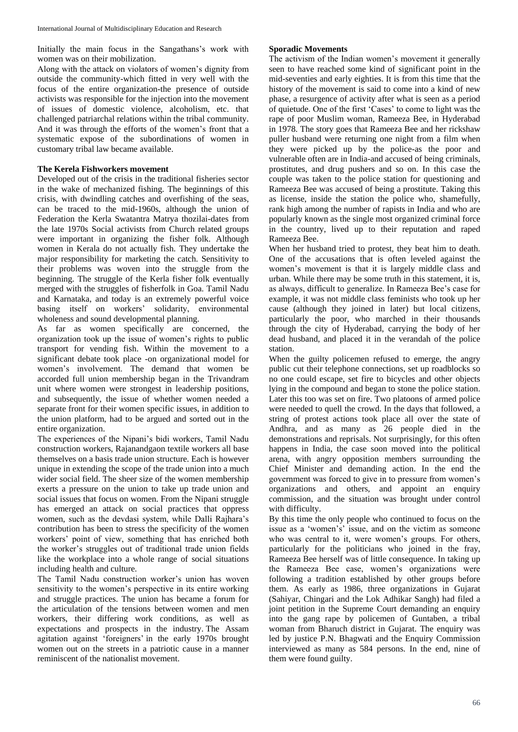Initially the main focus in the Sangathans's work with women was on their mobilization.

Along with the attack on violators of women's dignity from outside the community-which fitted in very well with the focus of the entire organization-the presence of outside activists was responsible for the injection into the movement of issues of domestic violence, alcoholism, etc. that challenged patriarchal relations within the tribal community. And it was through the efforts of the women's front that a systematic expose of the subordinations of women in customary tribal law became available.

#### **The Kerela Fishworkers movement**

Developed out of the crisis in the traditional fisheries sector in the wake of mechanized fishing. The beginnings of this crisis, with dwindling catches and overfishing of the seas, can be traced to the mid-1960s, although the union of Federation the Kerla Swatantra Matrya thozilai-dates from the late 1970s Social activists from Church related groups were important in organizing the fisher folk. Although women in Kerala do not actually fish. They undertake the major responsibility for marketing the catch. Sensitivity to their problems was woven into the struggle from the beginning. The struggle of the Kerla fisher folk eventually merged with the struggles of fisherfolk in Goa. Tamil Nadu and Karnataka, and today is an extremely powerful voice basing itself on workers' solidarity, environmental wholeness and sound developmental planning.

As far as women specifically are concerned, the organization took up the issue of women's rights to public transport for vending fish. Within the movement to a significant debate took place -on organizational model for women's involvement. The demand that women be accorded full union membership began in the Trivandram unit where women were strongest in leadership positions, and subsequently, the issue of whether women needed a separate front for their women specific issues, in addition to the union platform, had to be argued and sorted out in the entire organization.

The experiences of the Nipani's bidi workers, Tamil Nadu construction workers, Rajanandgaon textile workers all base themselves on a basis trade union structure. Each is however unique in extending the scope of the trade union into a much wider social field. The sheer size of the women membership exerts a pressure on the union to take up trade union and social issues that focus on women. From the Nipani struggle has emerged an attack on social practices that oppress women, such as the devdasi system, while Dalli Rajhara's contribution has been to stress the specificity of the women workers' point of view, something that has enriched both the worker's struggles out of traditional trade union fields like the workplace into a whole range of social situations including health and culture.

The Tamil Nadu construction worker's union has woven sensitivity to the women's perspective in its entire working and struggle practices. The union has became a forum for the articulation of the tensions between women and men workers, their differing work conditions, as well as expectations and prospects in the industry. The Assam agitation against 'foreigners' in the early 1970s brought women out on the streets in a patriotic cause in a manner reminiscent of the nationalist movement.

#### **Sporadic Movements**

The activism of the Indian women's movement it generally seen to have reached some kind of significant point in the mid-seventies and early eighties. It is from this time that the history of the movement is said to come into a kind of new phase, a resurgence of activity after what is seen as a period of quietude. One of the first 'Cases' to come to light was the rape of poor Muslim woman, Rameeza Bee, in Hyderabad in 1978. The story goes that Rameeza Bee and her rickshaw puller husband were returning one night from a film when they were picked up by the police-as the poor and vulnerable often are in India-and accused of being criminals, prostitutes, and drug pushers and so on. In this case the couple was taken to the police station for questioning and Rameeza Bee was accused of being a prostitute. Taking this as license, inside the station the police who, shamefully, rank high among the number of rapists in India and who are popularly known as the single most organized criminal force in the country, lived up to their reputation and raped Rameeza Bee.

When her husband tried to protest, they beat him to death. One of the accusations that is often leveled against the women's movement is that it is largely middle class and urban. While there may be some truth in this statement, it is, as always, difficult to generalize. In Rameeza Bee's case for example, it was not middle class feminists who took up her cause (although they joined in later) but local citizens, particularly the poor, who marched in their thousands through the city of Hyderabad, carrying the body of her dead husband, and placed it in the verandah of the police station.

When the guilty policemen refused to emerge, the angry public cut their telephone connections, set up roadblocks so no one could escape, set fire to bicycles and other objects lying in the compound and began to stone the police station. Later this too was set on fire. Two platoons of armed police were needed to quell the crowd. In the days that followed, a string of protest actions took place all over the state of Andhra, and as many as 26 people died in the demonstrations and reprisals. Not surprisingly, for this often happens in India, the case soon moved into the political arena, with angry opposition members surrounding the Chief Minister and demanding action. In the end the government was forced to give in to pressure from women's organizations and others, and appoint an enquiry commission, and the situation was brought under control with difficulty.

By this time the only people who continued to focus on the issue as a 'women's' issue, and on the victim as someone who was central to it, were women's groups. For others, particularly for the politicians who joined in the fray, Rameeza Bee herself was of little consequence. In taking up the Rameeza Bee case, women's organizations were following a tradition established by other groups before them. As early as 1986, three organizations in Gujarat (Sahiyar, Chingari and the Lok Adhikar Sangh) had filed a joint petition in the Supreme Court demanding an enquiry into the gang rape by policemen of Guntaben, a tribal woman from Bharuch district in Gujarat. The enquiry was led by justice P.N. Bhagwati and the Enquiry Commission interviewed as many as 584 persons. In the end, nine of them were found guilty.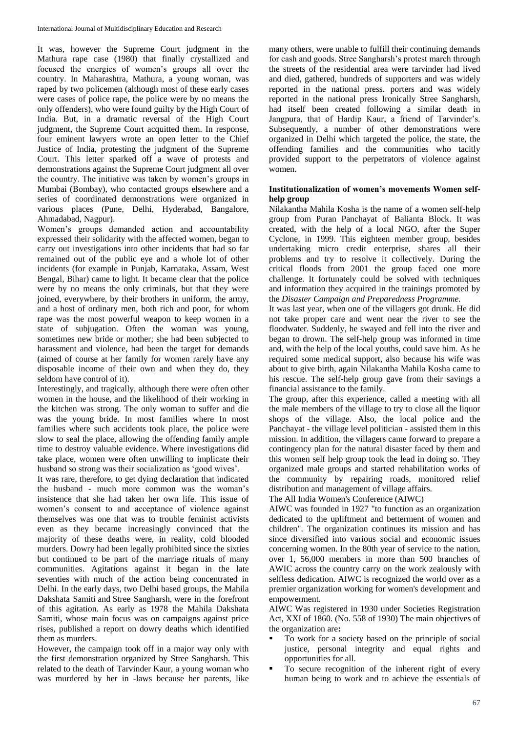It was, however the Supreme Court judgment in the Mathura rape case (1980) that finally crystallized and focused the energies of women's groups all over the country. In Maharashtra, Mathura, a young woman, was raped by two policemen (although most of these early cases were cases of police rape, the police were by no means the only offenders), who were found guilty by the High Court of India. But, in a dramatic reversal of the High Court judgment, the Supreme Court acquitted them. In response, four eminent lawyers wrote an open letter to the Chief Justice of India, protesting the judgment of the Supreme Court. This letter sparked off a wave of protests and demonstrations against the Supreme Court judgment all over the country. The initiative was taken by women's groups in Mumbai (Bombay), who contacted groups elsewhere and a series of coordinated demonstrations were organized in various places (Pune, Delhi, Hyderabad, Bangalore, Ahmadabad, Nagpur).

Women's groups demanded action and accountability expressed their solidarity with the affected women, began to carry out investigations into other incidents that had so far remained out of the public eye and a whole lot of other incidents (for example in Punjab, Karnataka, Assam, West Bengal, Bihar) came to light. It became clear that the police were by no means the only criminals, but that they were joined, everywhere, by their brothers in uniform, the army, and a host of ordinary men, both rich and poor, for whom rape was the most powerful weapon to keep women in a state of subjugation. Often the woman was young, sometimes new bride or mother; she had been subjected to harassment and violence, had been the target for demands (aimed of course at her family for women rarely have any disposable income of their own and when they do, they seldom have control of it).

Interestingly, and tragically, although there were often other women in the house, and the likelihood of their working in the kitchen was strong. The only woman to suffer and die was the young bride. In most families where In most families where such accidents took place, the police were slow to seal the place, allowing the offending family ample time to destroy valuable evidence. Where investigations did take place, women were often unwilling to implicate their husband so strong was their socialization as 'good wives'.

It was rare, therefore, to get dying declaration that indicated the husband - much more common was the woman's insistence that she had taken her own life. This issue of women's consent to and acceptance of violence against themselves was one that was to trouble feminist activists even as they became increasingly convinced that the majority of these deaths were, in reality, cold blooded murders. Dowry had been legally prohibited since the sixties but continued to be part of the marriage rituals of many communities. Agitations against it began in the late seventies with much of the action being concentrated in Delhi. In the early days, two Delhi based groups, the Mahila Dakshata Samiti and Stree Sangharsh, were in the forefront of this agitation. As early as 1978 the Mahila Dakshata Samiti, whose main focus was on campaigns against price rises, published a report on dowry deaths which identified them as murders.

However, the campaign took off in a major way only with the first demonstration organized by Stree Sangharsh. This related to the death of Tarvinder Kaur, a young woman who was murdered by her in -laws because her parents, like

many others, were unable to fulfill their continuing demands for cash and goods. Stree Sangharsh's protest march through the streets of the residential area were tarvinder had lived and died, gathered, hundreds of supporters and was widely reported in the national press. porters and was widely reported in the national press Ironically Stree Sangharsh, had itself been created following a similar death in Jangpura, that of Hardip Kaur, a friend of Tarvinder's. Subsequently, a number of other demonstrations were organized in Delhi which targeted the police, the state, the offending families and the communities who tacitly provided support to the perpetrators of violence against women.

# **Institutionalization of women's movements Women selfhelp group**

Nilakantha Mahila Kosha is the name of a women self-help group from Puran Panchayat of Balianta Block. It was created, with the help of a local NGO, after the Super Cyclone, in 1999. This eighteen member group, besides undertaking micro credit enterprise, shares all their problems and try to resolve it collectively. During the critical floods from 2001 the group faced one more challenge. It fortunately could be solved with techniques and information they acquired in the trainings promoted by the *Disaster Campaign and Preparedness Programme.*

It was last year, when one of the villagers got drunk. He did not take proper care and went near the river to see the floodwater. Suddenly, he swayed and fell into the river and began to drown. The self-help group was informed in time and, with the help of the local youths, could save him. As he required some medical support, also because his wife was about to give birth, again Nilakantha Mahila Kosha came to his rescue. The self-help group gave from their savings a financial assistance to the family.

The group, after this experience, called a meeting with all the male members of the village to try to close all the liquor shops of the village. Also, the local police and the Panchayat - the village level politician - assisted them in this mission. In addition, the villagers came forward to prepare a contingency plan for the natural disaster faced by them and this women self help group took the lead in doing so. They organized male groups and started rehabilitation works of the community by repairing roads, monitored relief distribution and management of village affairs.

The All India Women's Conference (AIWC)

AIWC was founded in 1927 "to function as an organization dedicated to the upliftment and betterment of women and children". The organization continues its mission and has since diversified into various social and economic issues concerning women. In the 80th year of service to the nation, over 1, 56,000 members in more than 500 branches of AWIC across the country carry on the work zealously with selfless dedication. AIWC is recognized the world over as a premier organization working for women's development and empowerment.

AIWC Was registered in 1930 under Societies Registration Act, XXI of 1860. (No. 558 of 1930) The main objectives of the organization are**:**

- To work for a society based on the principle of social justice, personal integrity and equal rights and opportunities for all.
- To secure recognition of the inherent right of every human being to work and to achieve the essentials of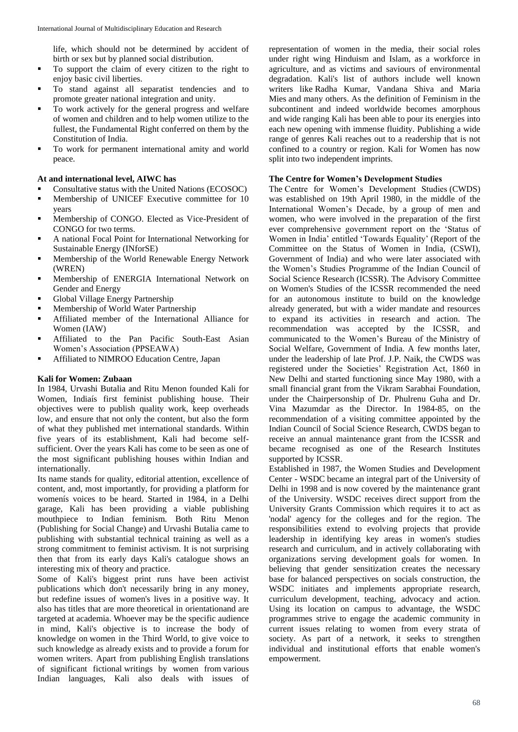life, which should not be determined by accident of birth or sex but by planned social distribution.

- To support the claim of every citizen to the right to enjoy basic civil liberties.
- To stand against all separatist tendencies and to promote greater national integration and unity.
- To work actively for the general progress and welfare of women and children and to help women utilize to the fullest, the Fundamental Right conferred on them by the Constitution of India.
- To work for permanent international amity and world peace.

#### **At and international level, AIWC has**

- Consultative status with the United Nations (ECOSOC)
- **Membership of UNICEF Executive committee for 10** years
- **Membership of CONGO.** Elected as Vice-President of CONGO for two terms.
- A national Focal Point for International Networking for Sustainable Energy (INforSE)
- Membership of the World Renewable Energy Network (WREN)
- Membership of ENERGIA International Network on Gender and Energy
- Global Village Energy Partnership
- **Membership of World Water Partnership**
- Affiliated member of the International Alliance for Women (IAW)
- Affiliated to the Pan Pacific South-East Asian Women's Association (PPSEAWA)
- Affiliated to NIMROO Education Centre, Japan

#### **Kali for Women: Zubaan**

In 1984, Urvashi Butalia and Ritu Menon founded Kali for Women, Indiaís first feminist publishing house. Their objectives were to publish quality work, keep overheads low, and ensure that not only the content, but also the form of what they published met international standards. Within five years of its establishment, Kali had become selfsufficient. Over the years Kali has come to be seen as one of the most significant publishing houses within Indian and internationally.

Its name stands for quality, editorial attention, excellence of content, and, most importantly, for providing a platform for womenís voices to be heard. Started in 1984, in a Delhi garage, Kali has been providing a viable publishing mouthpiece to Indian feminism. Both Ritu Menon (Publishing for Social Change) and Urvashi Butalia came to publishing with substantial technical training as well as a strong commitment to feminist activism. It is not surprising then that from its early days Kali's catalogue shows an interesting mix of theory and practice.

Some of Kali's biggest print runs have been activist publications which don't necessarily bring in any money, but redefine issues of women's lives in a positive way. It also has titles that are more theoretical in orientationand are targeted at academia. Whoever may be the specific audience in mind, Kali's objective is to increase the body of knowledge on women in the Third World, to give voice to such knowledge as already exists and to provide a forum for women writers. Apart from publishing English translations of significant fictional writings by women from various Indian languages, Kali also deals with issues of

representation of women in the media, their social roles under right wing Hinduism and Islam, as a workforce in agriculture, and as victims and saviours of environmental degradation. Kali's list of authors include well known writers like Radha Kumar, Vandana Shiva and Maria Mies and many others. As the definition of Feminism in the subcontinent and indeed worldwide becomes amorphous and wide ranging Kali has been able to pour its energies into each new opening with immense fluidity. Publishing a wide range of genres Kali reaches out to a readership that is not confined to a country or region. Kali for Women has now split into two independent imprints.

### **The Centre for Women's Development Studies**

The Centre for Women's Development Studies (CWDS) was established on 19th April 1980, in the middle of the International Women's Decade, by a group of men and women, who were involved in the preparation of the first ever comprehensive government report on the 'Status of Women in India' entitled 'Towards Equality' (Report of the Committee on the Status of Women in India, (CSWI), Government of India) and who were later associated with the Women's Studies Programme of the Indian Council of Social Science Research (ICSSR). The Advisory Committee on Women's Studies of the ICSSR recommended the need for an autonomous institute to build on the knowledge already generated, but with a wider mandate and resources to expand its activities in research and action. The recommendation was accepted by the ICSSR, and communicated to the Women's Bureau of the Ministry of Social Welfare, Government of India. A few months later, under the leadership of late Prof. J.P. Naik, the CWDS was registered under the Societies' Registration Act, 1860 in New Delhi and started functioning since May 1980, with a small financial grant from the Vikram Sarabhai Foundation, under the Chairpersonship of Dr. Phulrenu Guha and Dr. Vina Mazumdar as the Director. In 1984-85, on the recommendation of a visiting committee appointed by the Indian Council of Social Science Research, CWDS began to receive an annual maintenance grant from the ICSSR and became recognised as one of the Research Institutes supported by ICSSR.

Established in 1987, the Women Studies and Development Center - WSDC became an integral part of the University of Delhi in 1998 and is now covered by the maintenance grant of the University. WSDC receives direct support from the University Grants Commission which requires it to act as 'nodal' agency for the colleges and for the region. The responsibilities extend to evolving projects that provide leadership in identifying key areas in women's studies research and curriculum, and in actively collaborating with organizations serving development goals for women. In believing that gender sensitization creates the necessary base for balanced perspectives on socials construction, the WSDC initiates and implements appropriate research, curriculum development, teaching, advocacy and action. Using its location on campus to advantage, the WSDC programmes strive to engage the academic community in current issues relating to women from every strata of society. As part of a network, it seeks to strengthen individual and institutional efforts that enable women's empowerment.